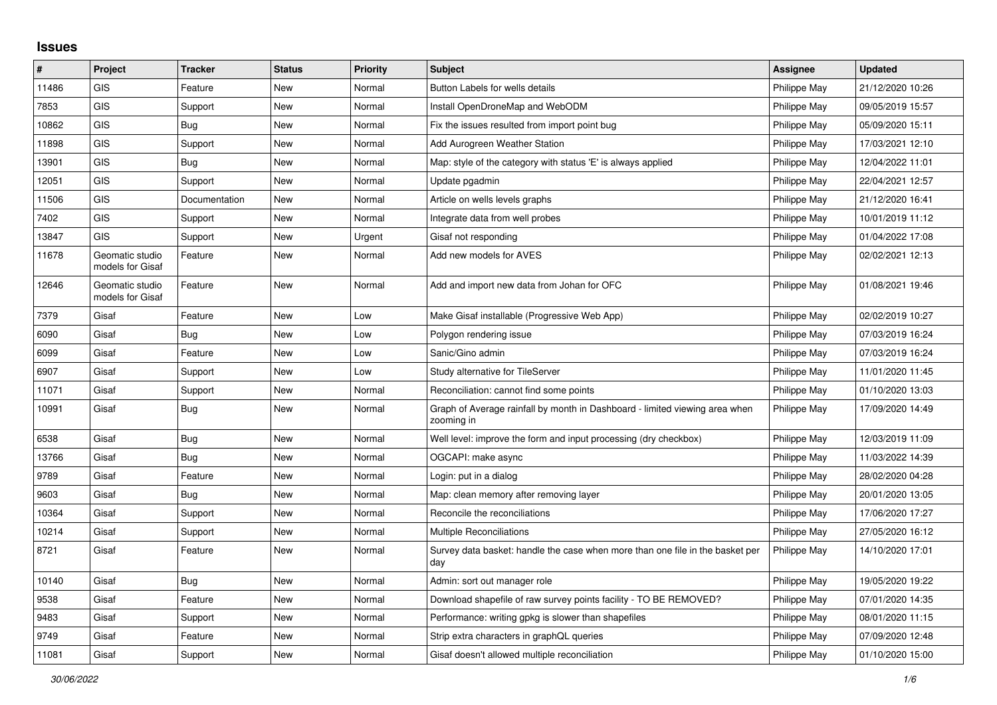## **Issues**

| ∦     | Project                             | <b>Tracker</b> | <b>Status</b> | <b>Priority</b> | <b>Subject</b>                                                                            | Assignee            | <b>Updated</b>   |
|-------|-------------------------------------|----------------|---------------|-----------------|-------------------------------------------------------------------------------------------|---------------------|------------------|
| 11486 | <b>GIS</b>                          | Feature        | New           | Normal          | Button Labels for wells details                                                           | Philippe May        | 21/12/2020 10:26 |
| 7853  | <b>GIS</b>                          | Support        | New           | Normal          | Install OpenDroneMap and WebODM                                                           | Philippe May        | 09/05/2019 15:57 |
| 10862 | <b>GIS</b>                          | <b>Bug</b>     | New           | Normal          | Fix the issues resulted from import point bug                                             | Philippe May        | 05/09/2020 15:11 |
| 11898 | GIS                                 | Support        | New           | Normal          | Add Aurogreen Weather Station                                                             | Philippe May        | 17/03/2021 12:10 |
| 13901 | <b>GIS</b>                          | Bug            | New           | Normal          | Map: style of the category with status 'E' is always applied                              | Philippe May        | 12/04/2022 11:01 |
| 12051 | <b>GIS</b>                          | Support        | New           | Normal          | Update pgadmin                                                                            | Philippe May        | 22/04/2021 12:57 |
| 11506 | <b>GIS</b>                          | Documentation  | New           | Normal          | Article on wells levels graphs                                                            | Philippe May        | 21/12/2020 16:41 |
| 7402  | GIS                                 | Support        | New           | Normal          | Integrate data from well probes                                                           | Philippe May        | 10/01/2019 11:12 |
| 13847 | <b>GIS</b>                          | Support        | New           | Urgent          | Gisaf not responding                                                                      | Philippe May        | 01/04/2022 17:08 |
| 11678 | Geomatic studio<br>models for Gisaf | Feature        | New           | Normal          | Add new models for AVES                                                                   | Philippe May        | 02/02/2021 12:13 |
| 12646 | Geomatic studio<br>models for Gisaf | Feature        | <b>New</b>    | Normal          | Add and import new data from Johan for OFC                                                | Philippe May        | 01/08/2021 19:46 |
| 7379  | Gisaf                               | Feature        | <b>New</b>    | Low             | Make Gisaf installable (Progressive Web App)                                              | Philippe May        | 02/02/2019 10:27 |
| 6090  | Gisaf                               | Bug            | New           | Low             | Polygon rendering issue                                                                   | Philippe May        | 07/03/2019 16:24 |
| 6099  | Gisaf                               | Feature        | New           | Low             | Sanic/Gino admin                                                                          | Philippe May        | 07/03/2019 16:24 |
| 6907  | Gisaf                               | Support        | New           | Low             | Study alternative for TileServer                                                          | Philippe May        | 11/01/2020 11:45 |
| 11071 | Gisaf                               | Support        | New           | Normal          | Reconciliation: cannot find some points                                                   | Philippe May        | 01/10/2020 13:03 |
| 10991 | Gisaf                               | Bug            | New           | Normal          | Graph of Average rainfall by month in Dashboard - limited viewing area when<br>zooming in | Philippe May        | 17/09/2020 14:49 |
| 6538  | Gisaf                               | Bug            | New           | Normal          | Well level: improve the form and input processing (dry checkbox)                          | Philippe May        | 12/03/2019 11:09 |
| 13766 | Gisaf                               | Bug            | <b>New</b>    | Normal          | OGCAPI: make async                                                                        | Philippe May        | 11/03/2022 14:39 |
| 9789  | Gisaf                               | Feature        | New           | Normal          | Login: put in a dialog                                                                    | Philippe May        | 28/02/2020 04:28 |
| 9603  | Gisaf                               | Bug            | New           | Normal          | Map: clean memory after removing layer                                                    | Philippe May        | 20/01/2020 13:05 |
| 10364 | Gisaf                               | Support        | New           | Normal          | Reconcile the reconciliations                                                             | Philippe May        | 17/06/2020 17:27 |
| 10214 | Gisaf                               | Support        | New           | Normal          | Multiple Reconciliations                                                                  | Philippe May        | 27/05/2020 16:12 |
| 8721  | Gisaf                               | Feature        | New           | Normal          | Survey data basket: handle the case when more than one file in the basket per<br>day      | Philippe May        | 14/10/2020 17:01 |
| 10140 | Gisaf                               | Bug            | New           | Normal          | Admin: sort out manager role                                                              | Philippe May        | 19/05/2020 19:22 |
| 9538  | Gisaf                               | Feature        | New           | Normal          | Download shapefile of raw survey points facility - TO BE REMOVED?                         | Philippe May        | 07/01/2020 14:35 |
| 9483  | Gisaf                               | Support        | New           | Normal          | Performance: writing gpkg is slower than shapefiles                                       | Philippe May        | 08/01/2020 11:15 |
| 9749  | Gisaf                               | Feature        | New           | Normal          | Strip extra characters in graphQL queries                                                 | Philippe May        | 07/09/2020 12:48 |
| 11081 | Gisaf                               | Support        | New           | Normal          | Gisaf doesn't allowed multiple reconciliation                                             | <b>Philippe May</b> | 01/10/2020 15:00 |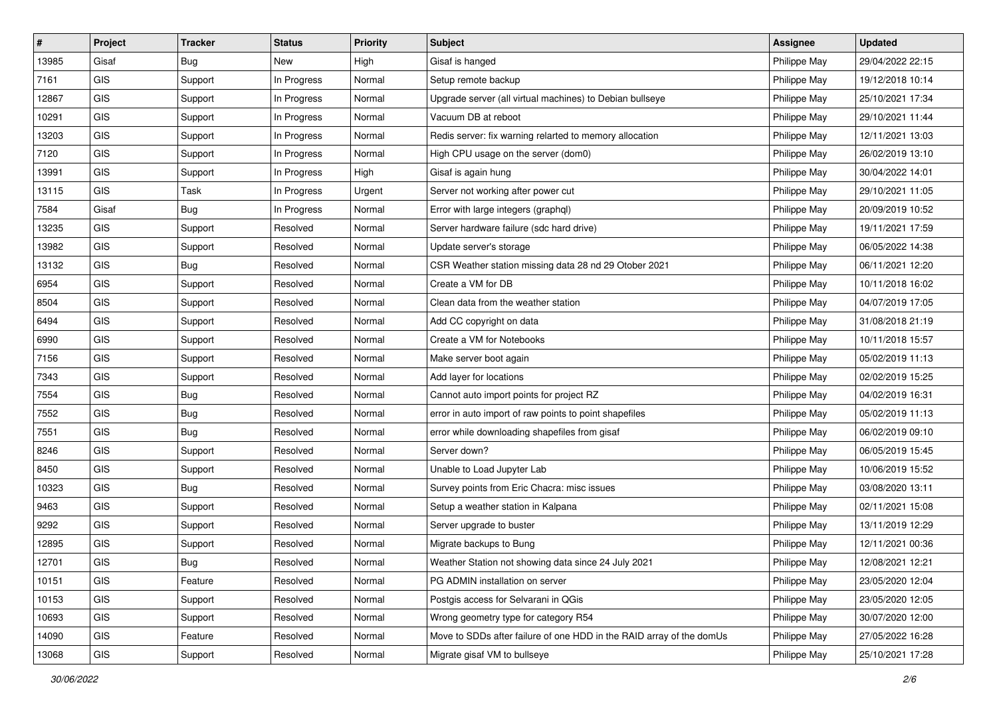| #     | Project    | <b>Tracker</b> | <b>Status</b> | <b>Priority</b> | <b>Subject</b>                                                       | <b>Assignee</b> | <b>Updated</b>   |
|-------|------------|----------------|---------------|-----------------|----------------------------------------------------------------------|-----------------|------------------|
| 13985 | Gisaf      | <b>Bug</b>     | New           | High            | Gisaf is hanged                                                      | Philippe May    | 29/04/2022 22:15 |
| 7161  | GIS        | Support        | In Progress   | Normal          | Setup remote backup                                                  | Philippe May    | 19/12/2018 10:14 |
| 12867 | GIS        | Support        | In Progress   | Normal          | Upgrade server (all virtual machines) to Debian bullseye             | Philippe May    | 25/10/2021 17:34 |
| 10291 | GIS        | Support        | In Progress   | Normal          | Vacuum DB at reboot                                                  | Philippe May    | 29/10/2021 11:44 |
| 13203 | GIS        | Support        | In Progress   | Normal          | Redis server: fix warning relarted to memory allocation              | Philippe May    | 12/11/2021 13:03 |
| 7120  | <b>GIS</b> | Support        | In Progress   | Normal          | High CPU usage on the server (dom0)                                  | Philippe May    | 26/02/2019 13:10 |
| 13991 | GIS        | Support        | In Progress   | High            | Gisaf is again hung                                                  | Philippe May    | 30/04/2022 14:01 |
| 13115 | GIS        | Task           | In Progress   | Urgent          | Server not working after power cut                                   | Philippe May    | 29/10/2021 11:05 |
| 7584  | Gisaf      | <b>Bug</b>     | In Progress   | Normal          | Error with large integers (graphql)                                  | Philippe May    | 20/09/2019 10:52 |
| 13235 | <b>GIS</b> | Support        | Resolved      | Normal          | Server hardware failure (sdc hard drive)                             | Philippe May    | 19/11/2021 17:59 |
| 13982 | GIS        | Support        | Resolved      | Normal          | Update server's storage                                              | Philippe May    | 06/05/2022 14:38 |
| 13132 | GIS        | <b>Bug</b>     | Resolved      | Normal          | CSR Weather station missing data 28 nd 29 Otober 2021                | Philippe May    | 06/11/2021 12:20 |
| 6954  | GIS        | Support        | Resolved      | Normal          | Create a VM for DB                                                   | Philippe May    | 10/11/2018 16:02 |
| 8504  | GIS        | Support        | Resolved      | Normal          | Clean data from the weather station                                  | Philippe May    | 04/07/2019 17:05 |
| 6494  | GIS        | Support        | Resolved      | Normal          | Add CC copyright on data                                             | Philippe May    | 31/08/2018 21:19 |
| 6990  | GIS        | Support        | Resolved      | Normal          | Create a VM for Notebooks                                            | Philippe May    | 10/11/2018 15:57 |
| 7156  | GIS        | Support        | Resolved      | Normal          | Make server boot again                                               | Philippe May    | 05/02/2019 11:13 |
| 7343  | GIS        | Support        | Resolved      | Normal          | Add layer for locations                                              | Philippe May    | 02/02/2019 15:25 |
| 7554  | GIS        | <b>Bug</b>     | Resolved      | Normal          | Cannot auto import points for project RZ                             | Philippe May    | 04/02/2019 16:31 |
| 7552  | GIS        | <b>Bug</b>     | Resolved      | Normal          | error in auto import of raw points to point shapefiles               | Philippe May    | 05/02/2019 11:13 |
| 7551  | GIS        | Bug            | Resolved      | Normal          | error while downloading shapefiles from gisaf                        | Philippe May    | 06/02/2019 09:10 |
| 8246  | GIS        | Support        | Resolved      | Normal          | Server down?                                                         | Philippe May    | 06/05/2019 15:45 |
| 8450  | GIS        | Support        | Resolved      | Normal          | Unable to Load Jupyter Lab                                           | Philippe May    | 10/06/2019 15:52 |
| 10323 | GIS        | Bug            | Resolved      | Normal          | Survey points from Eric Chacra: misc issues                          | Philippe May    | 03/08/2020 13:11 |
| 9463  | <b>GIS</b> | Support        | Resolved      | Normal          | Setup a weather station in Kalpana                                   | Philippe May    | 02/11/2021 15:08 |
| 9292  | GIS        | Support        | Resolved      | Normal          | Server upgrade to buster                                             | Philippe May    | 13/11/2019 12:29 |
| 12895 | GIS        | Support        | Resolved      | Normal          | Migrate backups to Bung                                              | Philippe May    | 12/11/2021 00:36 |
| 12701 | GIS        | Bug            | Resolved      | Normal          | Weather Station not showing data since 24 July 2021                  | Philippe May    | 12/08/2021 12:21 |
| 10151 | <b>GIS</b> | Feature        | Resolved      | Normal          | PG ADMIN installation on server                                      | Philippe May    | 23/05/2020 12:04 |
| 10153 | GIS        | Support        | Resolved      | Normal          | Postgis access for Selvarani in QGis                                 | Philippe May    | 23/05/2020 12:05 |
| 10693 | GIS        | Support        | Resolved      | Normal          | Wrong geometry type for category R54                                 | Philippe May    | 30/07/2020 12:00 |
| 14090 | GIS        | Feature        | Resolved      | Normal          | Move to SDDs after failure of one HDD in the RAID array of the domUs | Philippe May    | 27/05/2022 16:28 |
| 13068 | GIS        | Support        | Resolved      | Normal          | Migrate gisaf VM to bullseye                                         | Philippe May    | 25/10/2021 17:28 |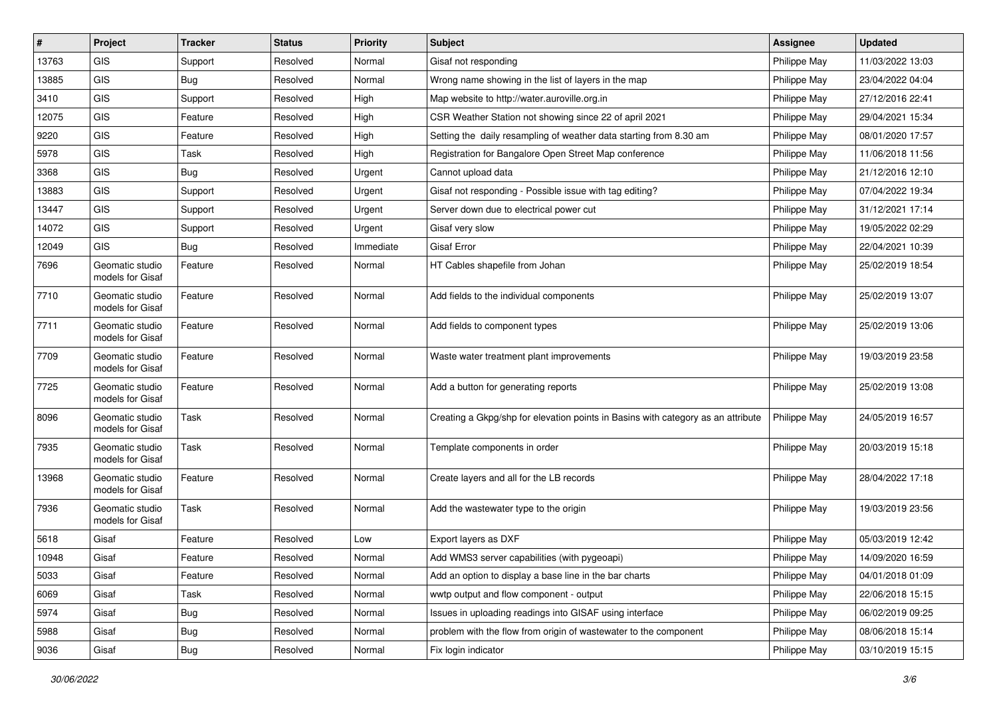| $\vert$ # | Project                             | <b>Tracker</b> | <b>Status</b> | <b>Priority</b> | <b>Subject</b>                                                                   | <b>Assignee</b> | <b>Updated</b>   |
|-----------|-------------------------------------|----------------|---------------|-----------------|----------------------------------------------------------------------------------|-----------------|------------------|
| 13763     | <b>GIS</b>                          | Support        | Resolved      | Normal          | Gisaf not responding                                                             | Philippe May    | 11/03/2022 13:03 |
| 13885     | <b>GIS</b>                          | Bug            | Resolved      | Normal          | Wrong name showing in the list of layers in the map                              | Philippe May    | 23/04/2022 04:04 |
| 3410      | GIS                                 | Support        | Resolved      | High            | Map website to http://water.auroville.org.in                                     | Philippe May    | 27/12/2016 22:41 |
| 12075     | GIS                                 | Feature        | Resolved      | High            | CSR Weather Station not showing since 22 of april 2021                           | Philippe May    | 29/04/2021 15:34 |
| 9220      | <b>GIS</b>                          | Feature        | Resolved      | High            | Setting the daily resampling of weather data starting from 8.30 am               | Philippe May    | 08/01/2020 17:57 |
| 5978      | <b>GIS</b>                          | Task           | Resolved      | High            | Registration for Bangalore Open Street Map conference                            | Philippe May    | 11/06/2018 11:56 |
| 3368      | GIS                                 | <b>Bug</b>     | Resolved      | Urgent          | Cannot upload data                                                               | Philippe May    | 21/12/2016 12:10 |
| 13883     | GIS                                 | Support        | Resolved      | Urgent          | Gisaf not responding - Possible issue with tag editing?                          | Philippe May    | 07/04/2022 19:34 |
| 13447     | GIS                                 | Support        | Resolved      | Urgent          | Server down due to electrical power cut                                          | Philippe May    | 31/12/2021 17:14 |
| 14072     | <b>GIS</b>                          | Support        | Resolved      | Urgent          | Gisaf very slow                                                                  | Philippe May    | 19/05/2022 02:29 |
| 12049     | <b>GIS</b>                          | Bug            | Resolved      | Immediate       | <b>Gisaf Error</b>                                                               | Philippe May    | 22/04/2021 10:39 |
| 7696      | Geomatic studio<br>models for Gisaf | Feature        | Resolved      | Normal          | HT Cables shapefile from Johan                                                   | Philippe May    | 25/02/2019 18:54 |
| 7710      | Geomatic studio<br>models for Gisaf | Feature        | Resolved      | Normal          | Add fields to the individual components                                          | Philippe May    | 25/02/2019 13:07 |
| 7711      | Geomatic studio<br>models for Gisaf | Feature        | Resolved      | Normal          | Add fields to component types                                                    | Philippe May    | 25/02/2019 13:06 |
| 7709      | Geomatic studio<br>models for Gisaf | Feature        | Resolved      | Normal          | Waste water treatment plant improvements                                         | Philippe May    | 19/03/2019 23:58 |
| 7725      | Geomatic studio<br>models for Gisaf | Feature        | Resolved      | Normal          | Add a button for generating reports                                              | Philippe May    | 25/02/2019 13:08 |
| 8096      | Geomatic studio<br>models for Gisaf | Task           | Resolved      | Normal          | Creating a Gkpg/shp for elevation points in Basins with category as an attribute | Philippe May    | 24/05/2019 16:57 |
| 7935      | Geomatic studio<br>models for Gisaf | Task           | Resolved      | Normal          | Template components in order                                                     | Philippe May    | 20/03/2019 15:18 |
| 13968     | Geomatic studio<br>models for Gisaf | Feature        | Resolved      | Normal          | Create layers and all for the LB records                                         | Philippe May    | 28/04/2022 17:18 |
| 7936      | Geomatic studio<br>models for Gisaf | Task           | Resolved      | Normal          | Add the wastewater type to the origin                                            | Philippe May    | 19/03/2019 23:56 |
| 5618      | Gisaf                               | Feature        | Resolved      | Low             | Export layers as DXF                                                             | Philippe May    | 05/03/2019 12:42 |
| 10948     | Gisaf                               | Feature        | Resolved      | Normal          | Add WMS3 server capabilities (with pygeoapi)                                     | Philippe May    | 14/09/2020 16:59 |
| 5033      | Gisaf                               | Feature        | Resolved      | Normal          | Add an option to display a base line in the bar charts                           | Philippe May    | 04/01/2018 01:09 |
| 6069      | Gisaf                               | Task           | Resolved      | Normal          | wwtp output and flow component - output                                          | Philippe May    | 22/06/2018 15:15 |
| 5974      | Gisaf                               | Bug            | Resolved      | Normal          | Issues in uploading readings into GISAF using interface                          | Philippe May    | 06/02/2019 09:25 |
| 5988      | Gisaf                               | Bug            | Resolved      | Normal          | problem with the flow from origin of wastewater to the component                 | Philippe May    | 08/06/2018 15:14 |
| 9036      | Gisaf                               | Bug            | Resolved      | Normal          | Fix login indicator                                                              | Philippe May    | 03/10/2019 15:15 |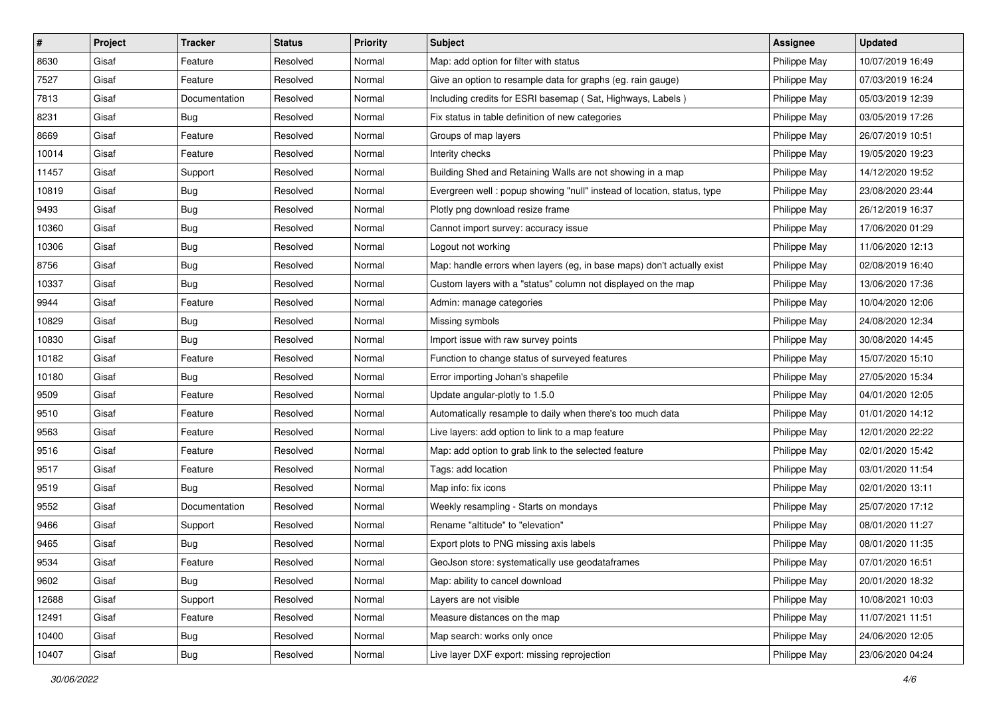| #     | Project | <b>Tracker</b> | <b>Status</b> | <b>Priority</b> | Subject                                                                | <b>Assignee</b> | <b>Updated</b>   |
|-------|---------|----------------|---------------|-----------------|------------------------------------------------------------------------|-----------------|------------------|
| 8630  | Gisaf   | Feature        | Resolved      | Normal          | Map: add option for filter with status                                 | Philippe May    | 10/07/2019 16:49 |
| 7527  | Gisaf   | Feature        | Resolved      | Normal          | Give an option to resample data for graphs (eg. rain gauge)            | Philippe May    | 07/03/2019 16:24 |
| 7813  | Gisaf   | Documentation  | Resolved      | Normal          | Including credits for ESRI basemap (Sat, Highways, Labels)             | Philippe May    | 05/03/2019 12:39 |
| 8231  | Gisaf   | Bug            | Resolved      | Normal          | Fix status in table definition of new categories                       | Philippe May    | 03/05/2019 17:26 |
| 8669  | Gisaf   | Feature        | Resolved      | Normal          | Groups of map layers                                                   | Philippe May    | 26/07/2019 10:51 |
| 10014 | Gisaf   | Feature        | Resolved      | Normal          | Interity checks                                                        | Philippe May    | 19/05/2020 19:23 |
| 11457 | Gisaf   | Support        | Resolved      | Normal          | Building Shed and Retaining Walls are not showing in a map             | Philippe May    | 14/12/2020 19:52 |
| 10819 | Gisaf   | <b>Bug</b>     | Resolved      | Normal          | Evergreen well: popup showing "null" instead of location, status, type | Philippe May    | 23/08/2020 23:44 |
| 9493  | Gisaf   | <b>Bug</b>     | Resolved      | Normal          | Plotly png download resize frame                                       | Philippe May    | 26/12/2019 16:37 |
| 10360 | Gisaf   | Bug            | Resolved      | Normal          | Cannot import survey: accuracy issue                                   | Philippe May    | 17/06/2020 01:29 |
| 10306 | Gisaf   | <b>Bug</b>     | Resolved      | Normal          | Logout not working                                                     | Philippe May    | 11/06/2020 12:13 |
| 8756  | Gisaf   | <b>Bug</b>     | Resolved      | Normal          | Map: handle errors when layers (eg, in base maps) don't actually exist | Philippe May    | 02/08/2019 16:40 |
| 10337 | Gisaf   | Bug            | Resolved      | Normal          | Custom layers with a "status" column not displayed on the map          | Philippe May    | 13/06/2020 17:36 |
| 9944  | Gisaf   | Feature        | Resolved      | Normal          | Admin: manage categories                                               | Philippe May    | 10/04/2020 12:06 |
| 10829 | Gisaf   | <b>Bug</b>     | Resolved      | Normal          | Missing symbols                                                        | Philippe May    | 24/08/2020 12:34 |
| 10830 | Gisaf   | <b>Bug</b>     | Resolved      | Normal          | Import issue with raw survey points                                    | Philippe May    | 30/08/2020 14:45 |
| 10182 | Gisaf   | Feature        | Resolved      | Normal          | Function to change status of surveyed features                         | Philippe May    | 15/07/2020 15:10 |
| 10180 | Gisaf   | <b>Bug</b>     | Resolved      | Normal          | Error importing Johan's shapefile                                      | Philippe May    | 27/05/2020 15:34 |
| 9509  | Gisaf   | Feature        | Resolved      | Normal          | Update angular-plotly to 1.5.0                                         | Philippe May    | 04/01/2020 12:05 |
| 9510  | Gisaf   | Feature        | Resolved      | Normal          | Automatically resample to daily when there's too much data             | Philippe May    | 01/01/2020 14:12 |
| 9563  | Gisaf   | Feature        | Resolved      | Normal          | Live layers: add option to link to a map feature                       | Philippe May    | 12/01/2020 22:22 |
| 9516  | Gisaf   | Feature        | Resolved      | Normal          | Map: add option to grab link to the selected feature                   | Philippe May    | 02/01/2020 15:42 |
| 9517  | Gisaf   | Feature        | Resolved      | Normal          | Tags: add location                                                     | Philippe May    | 03/01/2020 11:54 |
| 9519  | Gisaf   | <b>Bug</b>     | Resolved      | Normal          | Map info: fix icons                                                    | Philippe May    | 02/01/2020 13:11 |
| 9552  | Gisaf   | Documentation  | Resolved      | Normal          | Weekly resampling - Starts on mondays                                  | Philippe May    | 25/07/2020 17:12 |
| 9466  | Gisaf   | Support        | Resolved      | Normal          | Rename "altitude" to "elevation"                                       | Philippe May    | 08/01/2020 11:27 |
| 9465  | Gisaf   | <b>Bug</b>     | Resolved      | Normal          | Export plots to PNG missing axis labels                                | Philippe May    | 08/01/2020 11:35 |
| 9534  | Gisaf   | Feature        | Resolved      | Normal          | GeoJson store: systematically use geodataframes                        | Philippe May    | 07/01/2020 16:51 |
| 9602  | Gisaf   | Bug            | Resolved      | Normal          | Map: ability to cancel download                                        | Philippe May    | 20/01/2020 18:32 |
| 12688 | Gisaf   | Support        | Resolved      | Normal          | Layers are not visible                                                 | Philippe May    | 10/08/2021 10:03 |
| 12491 | Gisaf   | Feature        | Resolved      | Normal          | Measure distances on the map                                           | Philippe May    | 11/07/2021 11:51 |
| 10400 | Gisaf   | <b>Bug</b>     | Resolved      | Normal          | Map search: works only once                                            | Philippe May    | 24/06/2020 12:05 |
| 10407 | Gisaf   | Bug            | Resolved      | Normal          | Live layer DXF export: missing reprojection                            | Philippe May    | 23/06/2020 04:24 |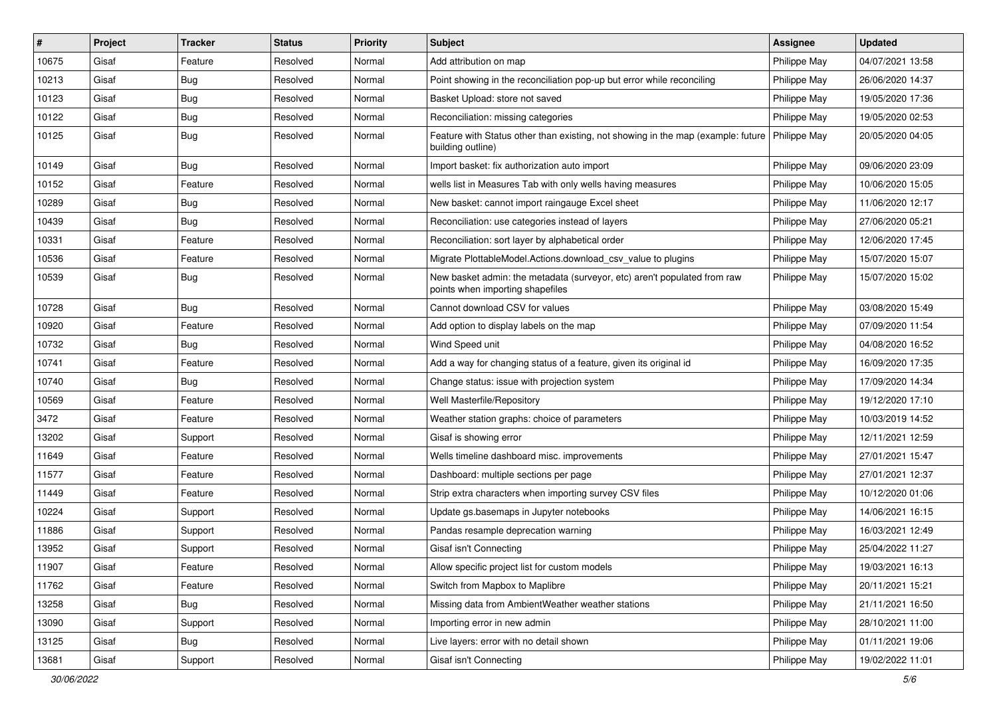| #     | Project | <b>Tracker</b> | <b>Status</b> | <b>Priority</b> | <b>Subject</b>                                                                                                       | <b>Assignee</b> | <b>Updated</b>   |
|-------|---------|----------------|---------------|-----------------|----------------------------------------------------------------------------------------------------------------------|-----------------|------------------|
| 10675 | Gisaf   | Feature        | Resolved      | Normal          | Add attribution on map                                                                                               | Philippe May    | 04/07/2021 13:58 |
| 10213 | Gisaf   | <b>Bug</b>     | Resolved      | Normal          | Point showing in the reconciliation pop-up but error while reconciling                                               | Philippe May    | 26/06/2020 14:37 |
| 10123 | Gisaf   | Bug            | Resolved      | Normal          | Basket Upload: store not saved                                                                                       | Philippe May    | 19/05/2020 17:36 |
| 10122 | Gisaf   | <b>Bug</b>     | Resolved      | Normal          | Reconciliation: missing categories                                                                                   | Philippe May    | 19/05/2020 02:53 |
| 10125 | Gisaf   | Bug            | Resolved      | Normal          | Feature with Status other than existing, not showing in the map (example: future   Philippe May<br>building outline) |                 | 20/05/2020 04:05 |
| 10149 | Gisaf   | Bug            | Resolved      | Normal          | Import basket: fix authorization auto import                                                                         | Philippe May    | 09/06/2020 23:09 |
| 10152 | Gisaf   | Feature        | Resolved      | Normal          | wells list in Measures Tab with only wells having measures                                                           | Philippe May    | 10/06/2020 15:05 |
| 10289 | Gisaf   | <b>Bug</b>     | Resolved      | Normal          | New basket: cannot import raingauge Excel sheet                                                                      | Philippe May    | 11/06/2020 12:17 |
| 10439 | Gisaf   | Bug            | Resolved      | Normal          | Reconciliation: use categories instead of layers                                                                     | Philippe May    | 27/06/2020 05:21 |
| 10331 | Gisaf   | Feature        | Resolved      | Normal          | Reconciliation: sort layer by alphabetical order                                                                     | Philippe May    | 12/06/2020 17:45 |
| 10536 | Gisaf   | Feature        | Resolved      | Normal          | Migrate PlottableModel.Actions.download csv value to plugins                                                         | Philippe May    | 15/07/2020 15:07 |
| 10539 | Gisaf   | Bug            | Resolved      | Normal          | New basket admin: the metadata (surveyor, etc) aren't populated from raw<br>points when importing shapefiles         | Philippe May    | 15/07/2020 15:02 |
| 10728 | Gisaf   | Bug            | Resolved      | Normal          | Cannot download CSV for values                                                                                       | Philippe May    | 03/08/2020 15:49 |
| 10920 | Gisaf   | Feature        | Resolved      | Normal          | Add option to display labels on the map                                                                              | Philippe May    | 07/09/2020 11:54 |
| 10732 | Gisaf   | <b>Bug</b>     | Resolved      | Normal          | Wind Speed unit                                                                                                      | Philippe May    | 04/08/2020 16:52 |
| 10741 | Gisaf   | Feature        | Resolved      | Normal          | Add a way for changing status of a feature, given its original id                                                    | Philippe May    | 16/09/2020 17:35 |
| 10740 | Gisaf   | Bug            | Resolved      | Normal          | Change status: issue with projection system                                                                          | Philippe May    | 17/09/2020 14:34 |
| 10569 | Gisaf   | Feature        | Resolved      | Normal          | Well Masterfile/Repository                                                                                           | Philippe May    | 19/12/2020 17:10 |
| 3472  | Gisaf   | Feature        | Resolved      | Normal          | Weather station graphs: choice of parameters                                                                         | Philippe May    | 10/03/2019 14:52 |
| 13202 | Gisaf   | Support        | Resolved      | Normal          | Gisaf is showing error                                                                                               | Philippe May    | 12/11/2021 12:59 |
| 11649 | Gisaf   | Feature        | Resolved      | Normal          | Wells timeline dashboard misc. improvements                                                                          | Philippe May    | 27/01/2021 15:47 |
| 11577 | Gisaf   | Feature        | Resolved      | Normal          | Dashboard: multiple sections per page                                                                                | Philippe May    | 27/01/2021 12:37 |
| 11449 | Gisaf   | Feature        | Resolved      | Normal          | Strip extra characters when importing survey CSV files                                                               | Philippe May    | 10/12/2020 01:06 |
| 10224 | Gisaf   | Support        | Resolved      | Normal          | Update gs.basemaps in Jupyter notebooks                                                                              | Philippe May    | 14/06/2021 16:15 |
| 11886 | Gisaf   | Support        | Resolved      | Normal          | Pandas resample deprecation warning                                                                                  | Philippe May    | 16/03/2021 12:49 |
| 13952 | Gisaf   | Support        | Resolved      | Normal          | Gisaf isn't Connecting                                                                                               | Philippe May    | 25/04/2022 11:27 |
| 11907 | Gisaf   | Feature        | Resolved      | Normal          | Allow specific project list for custom models                                                                        | Philippe May    | 19/03/2021 16:13 |
| 11762 | Gisaf   | Feature        | Resolved      | Normal          | Switch from Mapbox to Maplibre                                                                                       | Philippe May    | 20/11/2021 15:21 |
| 13258 | Gisaf   | <b>Bug</b>     | Resolved      | Normal          | Missing data from AmbientWeather weather stations                                                                    | Philippe May    | 21/11/2021 16:50 |
| 13090 | Gisaf   | Support        | Resolved      | Normal          | Importing error in new admin                                                                                         | Philippe May    | 28/10/2021 11:00 |
| 13125 | Gisaf   | <b>Bug</b>     | Resolved      | Normal          | Live layers: error with no detail shown                                                                              | Philippe May    | 01/11/2021 19:06 |
| 13681 | Gisaf   | Support        | Resolved      | Normal          | Gisaf isn't Connecting                                                                                               | Philippe May    | 19/02/2022 11:01 |